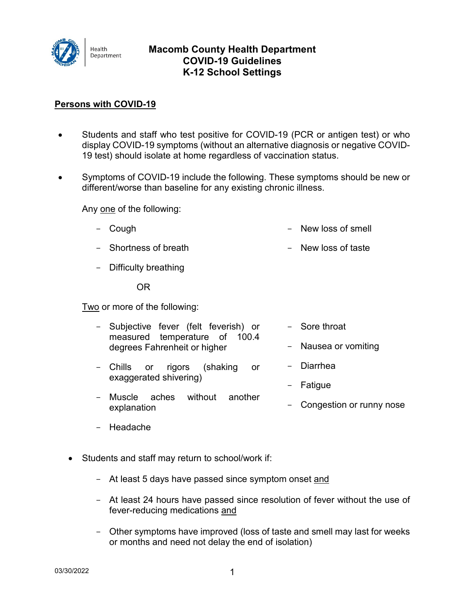

## **Macomb County Health Department COVID-19 Guidelines K-12 School Settings**

## **Persons with COVID-19**

- Students and staff who test positive for COVID-19 (PCR or antigen test) or who display COVID-19 symptoms (without an alternative diagnosis or negative COVID-19 test) should isolate at home regardless of vaccination status.
- Symptoms of COVID-19 include the following. These symptoms should be new or different/worse than baseline for any existing chronic illness.

Any one of the following:

- Cough - New loss of smell
- Shortness of breath - New loss of taste
- Difficulty breathing

OR

Two or more of the following:

| $ \,$  | Subjective fever (felt feverish) or<br>measured temperature of 100.4<br>degrees Fahrenheit or higher | - Sore throat<br>- Nausea or vomiting |  |
|--------|------------------------------------------------------------------------------------------------------|---------------------------------------|--|
|        | - Chills or rigors (shaking<br>or<br>exaggerated shivering)                                          | - Diarrhea                            |  |
|        |                                                                                                      | - Fatigue                             |  |
| $\sim$ | without another<br>Muscle aches<br>explanation                                                       | - Congestion or runny nose            |  |
|        |                                                                                                      |                                       |  |

- Headache
- Students and staff may return to school/work if:
	- At least 5 days have passed since symptom onset and
	- At least 24 hours have passed since resolution of fever without the use of fever-reducing medications and
	- Other symptoms have improved (loss of taste and smell may last for weeks or months and need not delay the end of isolation)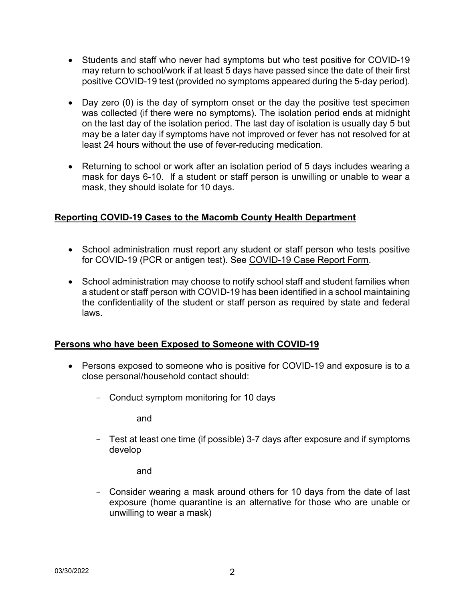- Students and staff who never had symptoms but who test positive for COVID-19 may return to school/work if at least 5 days have passed since the date of their first positive COVID-19 test (provided no symptoms appeared during the 5-day period).
- Day zero (0) is the day of symptom onset or the day the positive test specimen was collected (if there were no symptoms). The isolation period ends at midnight on the last day of the isolation period. The last day of isolation is usually day 5 but may be a later day if symptoms have not improved or fever has not resolved for at least 24 hours without the use of fever-reducing medication.
- Returning to school or work after an isolation period of 5 days includes wearing a mask for days 6-10. If a student or staff person is unwilling or unable to wear a mask, they should isolate for 10 days.

## **Reporting COVID-19 Cases to the Macomb County Health Department**

- School administration must report any student or staff person who tests positive for COVID-19 (PCR or antigen test). See COVID-19 Case Report Form.
- School administration may choose to notify school staff and student families when a student or staff person with COVID-19 has been identified in a school maintaining the confidentiality of the student or staff person as required by state and federal laws.

## **Persons who have been Exposed to Someone with COVID-19**

- Persons exposed to someone who is positive for COVID-19 and exposure is to a close personal/household contact should:
	- Conduct symptom monitoring for 10 days

and

- Test at least one time (if possible) 3-7 days after exposure and if symptoms develop

and

- Consider wearing a mask around others for 10 days from the date of last exposure (home quarantine is an alternative for those who are unable or unwilling to wear a mask)